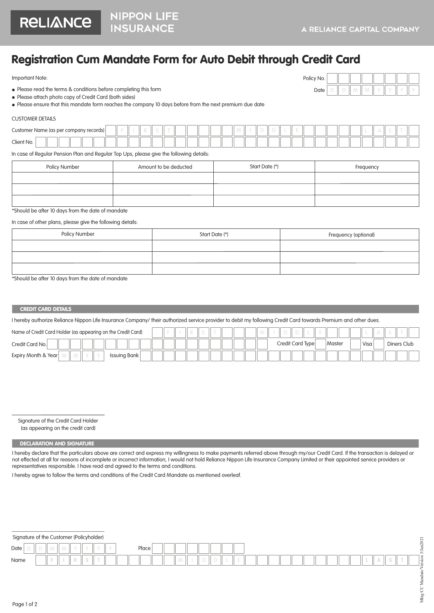

# Registration Cum Mandate Form for Auto Debit through Credit Card

Important Note:

| Policy No. |  |  |  |  |
|------------|--|--|--|--|
| Date       |  |  |  |  |

Please read the terms & conditions before completing this form

Please attach photo copy of Credit Card (both sides)

Please ensure that this mandate form reaches the company 10 days before from the next premium due date

#### CUSTOMER DETAILS

| Customer Name (as per company records) |  |  |  |  |  |  |  |  |  |  |  |  |  |  |  |  |  |
|----------------------------------------|--|--|--|--|--|--|--|--|--|--|--|--|--|--|--|--|--|
| <sup>o</sup> lient No.                 |  |  |  |  |  |  |  |  |  |  |  |  |  |  |  |  |  |

In case of Regular Pension Plan and Regular Top Ups, please give the following details:

| Policy Number | Amount to be deducted | Start Date (*) | Frequency |
|---------------|-----------------------|----------------|-----------|
|               |                       |                |           |
|               |                       |                |           |
|               |                       |                |           |

\*Should be after 10 days from the date of mandate

In case of other plans, please give the following details:

| <b>Policy Number</b> | Start Date (*) | Frequency (optional) |
|----------------------|----------------|----------------------|
|                      |                |                      |
|                      |                |                      |
|                      |                |                      |

\*Should be after 10 days from the date of mandate

### **CREDIT CARD DETAILS**

I hereby authorize Reliance Nippon Life Insurance Company/ their authorized service provider to debit my following Credit Card towards Premium and other dues.

| Name of Credit Card Holder (as appearing on the Credit Card) |  |  |  |  |  |  |                  |  |               |  |       |  |             |  |
|--------------------------------------------------------------|--|--|--|--|--|--|------------------|--|---------------|--|-------|--|-------------|--|
| Credit Card No.                                              |  |  |  |  |  |  | Credit Card Type |  | <b>Master</b> |  | Visa. |  | Diners Club |  |
| Expiry Month & Year<br>Issuing Bank                          |  |  |  |  |  |  |                  |  |               |  |       |  |             |  |

Signature of the Credit Card Holder

(as appearing on the credit card)

## DECLARATION AND SIGNATURE

I hereby declare that the particulars above are correct and express my willingness to make payments referred above through my/our Credit Card. If the transaction is delayed or not effected at all for reasons of incomplete or incorrect information, I would not hold Reliance Nippon Life Insurance Company Limited or their appointed service providers or representatives responsible. I have read and agreed to the terms and conditions.

I hereby agree to follow the terms and conditions of the Credit Card Mandate as mentioned overleaf.

## Signature of the Customer (Policyholder)

| Signature of the Customer (Policynolder) |  |  |          |                          |          |  |       |  |  |  |  |  |  |  |  |  |  |        |                                                                                                | $\overline{\phantom{0}}$<br>202 |
|------------------------------------------|--|--|----------|--------------------------|----------|--|-------|--|--|--|--|--|--|--|--|--|--|--------|------------------------------------------------------------------------------------------------|---------------------------------|
| Date                                     |  |  |          |                          | $\Delta$ |  | Place |  |  |  |  |  |  |  |  |  |  |        |                                                                                                | $\sim$                          |
| Name                                     |  |  | $\sigma$ | <b>Contract Contract</b> |          |  |       |  |  |  |  |  |  |  |  |  |  | $\sim$ | $\frac{1}{2} \left( \frac{1}{2} \right) \left( \frac{1}{2} \right) \left( \frac{1}{2} \right)$ | 1<br>l'2                        |
|                                          |  |  |          |                          |          |  |       |  |  |  |  |  |  |  |  |  |  |        |                                                                                                |                                 |
|                                          |  |  |          |                          |          |  |       |  |  |  |  |  |  |  |  |  |  |        |                                                                                                |                                 |
|                                          |  |  |          |                          |          |  |       |  |  |  |  |  |  |  |  |  |  |        |                                                                                                | ◡                               |
| .                                        |  |  |          |                          |          |  |       |  |  |  |  |  |  |  |  |  |  |        |                                                                                                | ≚<br>∠                          |